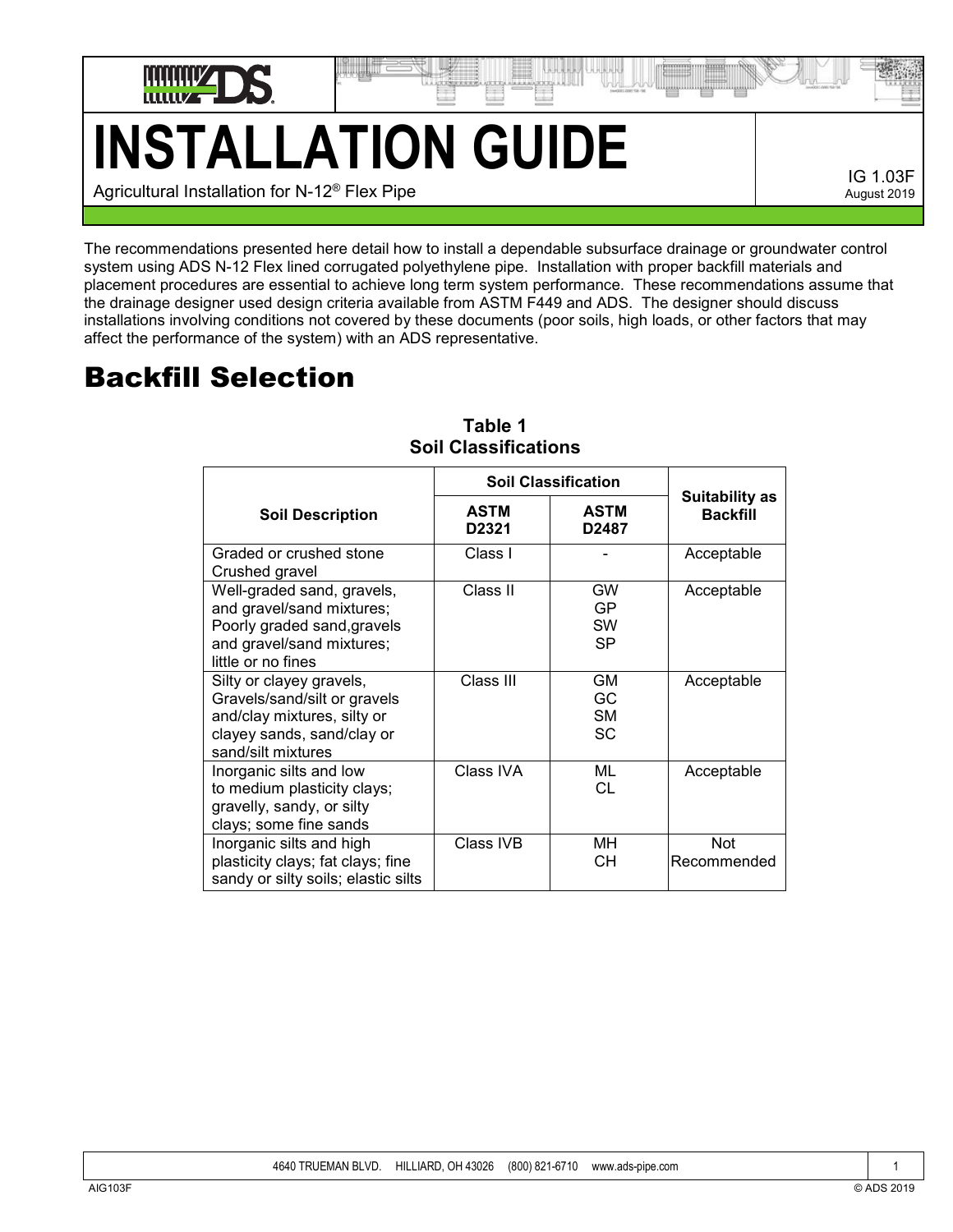

## **INSTALLATION GUIDE** Agricultural Installation for N-12® Flex Pipe

IG 1.03F August 2019

The recommendations presented here detail how to install a dependable subsurface drainage or groundwater control system using ADS N-12 Flex lined corrugated polyethylene pipe. Installation with proper backfill materials and placement procedures are essential to achieve long term system performance. These recommendations assume that the drainage designer used design criteria available from ASTM F449 and ADS. The designer should discuss installations involving conditions not covered by these documents (poor soils, high loads, or other factors that may affect the performance of the system) with an ADS representative.

### Backfill Selection

|                                                                                                                                             | <b>Soil Classification</b>       |                                     |                                          |
|---------------------------------------------------------------------------------------------------------------------------------------------|----------------------------------|-------------------------------------|------------------------------------------|
| <b>Soil Description</b>                                                                                                                     | <b>ASTM</b><br>D <sub>2321</sub> | <b>ASTM</b><br>D2487                | <b>Suitability as</b><br><b>Backfill</b> |
| Graded or crushed stone<br>Crushed gravel                                                                                                   | Class I                          |                                     | Acceptable                               |
| Well-graded sand, gravels,<br>and gravel/sand mixtures;<br>Poorly graded sand, gravels<br>and gravel/sand mixtures;<br>little or no fines   | Class II                         | <b>GW</b><br>GP<br><b>SW</b><br>SP. | Acceptable                               |
| Silty or clayey gravels,<br>Gravels/sand/silt or gravels<br>and/clay mixtures, silty or<br>clayey sands, sand/clay or<br>sand/silt mixtures | Class III                        | <b>GM</b><br>GC<br><b>SM</b><br>SC. | Acceptable                               |
| Inorganic silts and low<br>to medium plasticity clays;<br>gravelly, sandy, or silty<br>clays; some fine sands                               | Class IVA                        | ML<br>CL                            | Acceptable                               |
| Inorganic silts and high<br>plasticity clays; fat clays; fine<br>sandy or silty soils; elastic silts                                        | Class IVB                        | MН<br>CН                            | <b>Not</b><br>Recommended                |

#### **Table 1 Soil Classifications**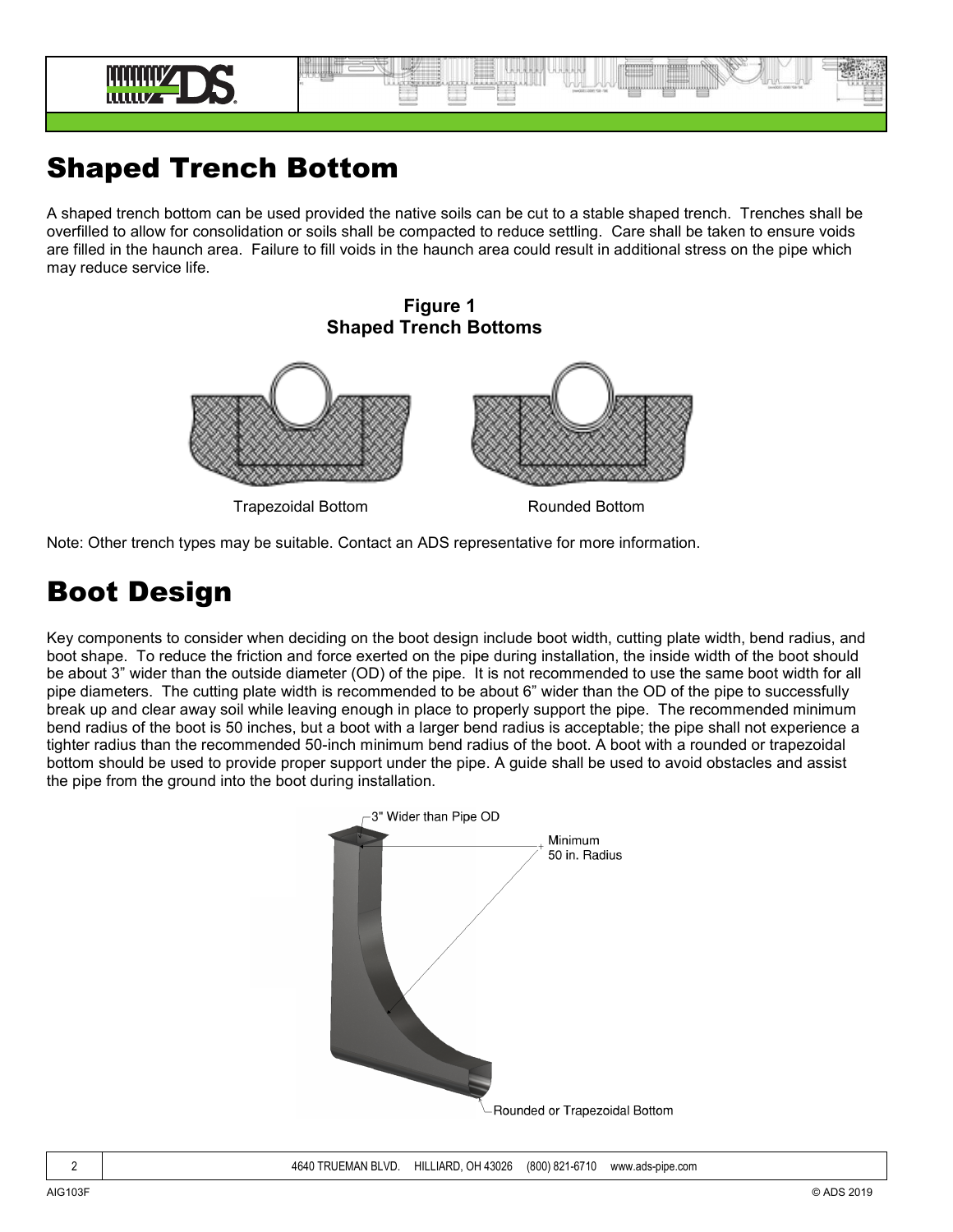

#### Shaped Trench Bottom

A shaped trench bottom can be used provided the native soils can be cut to a stable shaped trench. Trenches shall be overfilled to allow for consolidation or soils shall be compacted to reduce settling. Care shall be taken to ensure voids are filled in the haunch area. Failure to fill voids in the haunch area could result in additional stress on the pipe which may reduce service life.

# **Figure 1 Shaped Trench Bottoms**

Trapezoidal Bottom Rounded Bottom

Note: Other trench types may be suitable. Contact an ADS representative for more information.

#### Boot Design

Key components to consider when deciding on the boot design include boot width, cutting plate width, bend radius, and boot shape. To reduce the friction and force exerted on the pipe during installation, the inside width of the boot should be about 3" wider than the outside diameter (OD) of the pipe. It is not recommended to use the same boot width for all pipe diameters. The cutting plate width is recommended to be about 6" wider than the OD of the pipe to successfully break up and clear away soil while leaving enough in place to properly support the pipe. The recommended minimum bend radius of the boot is 50 inches, but a boot with a larger bend radius is acceptable; the pipe shall not experience a tighter radius than the recommended 50-inch minimum bend radius of the boot. A boot with a rounded or trapezoidal bottom should be used to provide proper support under the pipe. A guide shall be used to avoid obstacles and assist the pipe from the ground into the boot during installation.